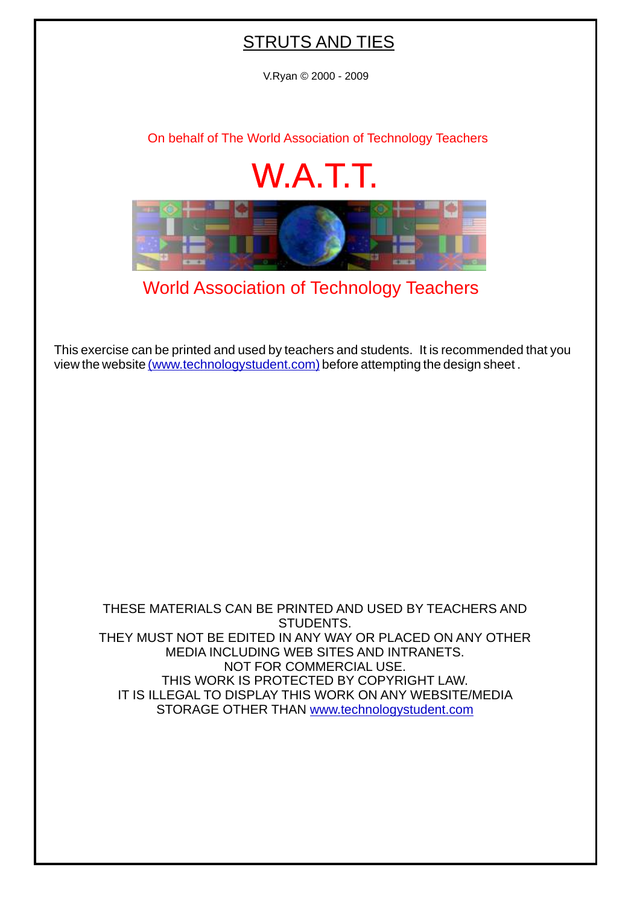## STRUTS AND TIES

V.Ryan © 2000 - 2009

[On behalf of The World Association of Technology Teachers](http://www.technologystudent.com)

## W.A.T.T.



[World Association of Technology Teachers](http://www.technologystudent.com)

[This exercise can be printed and used by teachers and students. It is recommended that you](http://www.technologystudent.com/designpro/drawdex.htm) view the website [\(www.technologystudent.com\)](http://www.technologystudent.com) before attempting the design sheet .

THESE MATERIALS CAN BE PRINTED AND USED BY TEACHERS AND STUDENTS. THEY MUST NOT BE EDITED IN ANY WAY OR PLACED ON ANY OTHER MEDIA INCLUDING WEB SITES AND INTRANETS. NOT FOR COMMERCIAL USE. THIS WORK IS PROTECTED BY COPYRIGHT LAW. IT IS ILLEGAL TO DISPLAY THIS WORK ON ANY WEBSITE/MEDIA STORAGE OTHER THAN [www.technologystudent.com](http://www.technologystudent.com)